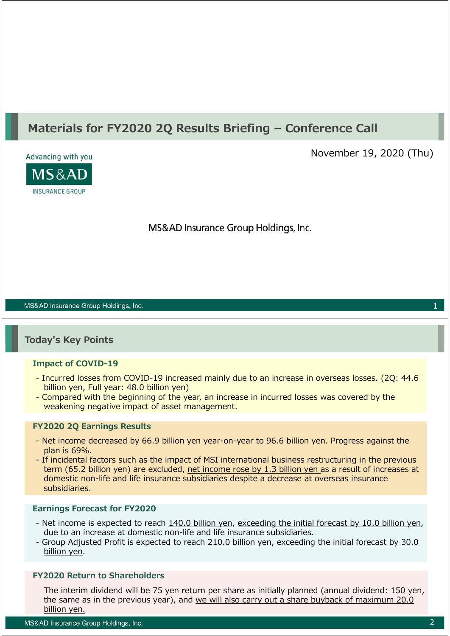# **Materials for FY2020 2Q Results Briefing – Conference Call**



November 19, 2020 (Thu)

MS&AD Insurance Group Holdings, Inc.

#### MS&AD Insurance Group Holdings, Inc.

### **Today's Key Points**

#### **Impact of COVID-19**

- Incurred losses from COVID-19 increased mainly due to an increase in overseas losses. (2Q: 44.6 billion yen, Full year: 48.0 billion yen)
- Compared with the beginning of the year, an increase in incurred losses was covered by the weakening negative impact of asset management.

#### **FY2020 2Q Earnings Results**

- Net income decreased by 66.9 billion yen year-on-year to 96.6 billion yen. Progress against the plan is 69%.
- If incidental factors such as the impact of MSI international business restructuring in the previous term (65.2 billion yen) are excluded, net income rose by 1.3 billion yen as a result of increases at domestic non-life and life insurance subsidiaries despite a decrease at overseas insurance subsidiaries.

#### **Earnings Forecast for FY2020**

- Net income is expected to reach 140.0 billion yen, exceeding the initial forecast by 10.0 billion yen, due to an increase at domestic non-life and life insurance subsidiaries.
- Group Adjusted Profit is expected to reach 210.0 billion yen, exceeding the initial forecast by 30.0 billion yen.

### **FY2020 Return to Shareholders**

The interim dividend will be 75 yen return per share as initially planned (annual dividend: 150 yen, the same as in the previous year), and we will also carry out a share buyback of maximum 20.0 billion yen.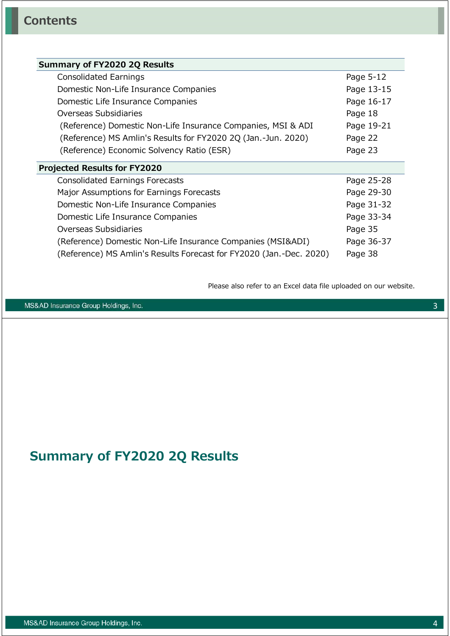| Summary of FY2020 2Q Results                                        |            |  |  |  |  |  |
|---------------------------------------------------------------------|------------|--|--|--|--|--|
| Consolidated Earnings                                               | Page 5-12  |  |  |  |  |  |
| Domestic Non-Life Insurance Companies                               | Page 13-15 |  |  |  |  |  |
| Domestic Life Insurance Companies                                   | Page 16-17 |  |  |  |  |  |
| Overseas Subsidiaries                                               | Page 18    |  |  |  |  |  |
| (Reference) Domestic Non-Life Insurance Companies, MSI & ADI        | Page 19-21 |  |  |  |  |  |
| (Reference) MS Amlin's Results for FY2020 2Q (Jan.-Jun. 2020)       | Page 22    |  |  |  |  |  |
| (Reference) Economic Solvency Ratio (ESR)                           | Page 23    |  |  |  |  |  |
| <b>Projected Results for FY2020</b>                                 |            |  |  |  |  |  |
| <b>Consolidated Earnings Forecasts</b>                              | Page 25-28 |  |  |  |  |  |
| Major Assumptions for Earnings Forecasts                            | Page 29-30 |  |  |  |  |  |
| Domestic Non-Life Insurance Companies                               | Page 31-32 |  |  |  |  |  |
| Domestic Life Insurance Companies                                   | Page 33-34 |  |  |  |  |  |
| Overseas Subsidiaries                                               | Page 35    |  |  |  |  |  |
| (Reference) Domestic Non-Life Insurance Companies (MSI&ADI)         | Page 36-37 |  |  |  |  |  |
| (Reference) MS Amlin's Results Forecast for FY2020 (Jan.-Dec. 2020) | Page 38    |  |  |  |  |  |
|                                                                     |            |  |  |  |  |  |

Please also refer to an Excel data file uploaded on our website.

MS&AD Insurance Group Holdings, Inc.

# **Summary of FY2020 2Q Results**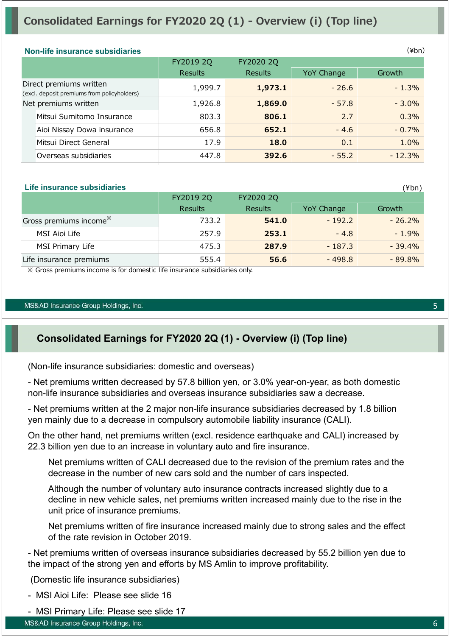# **Consolidated Earnings for FY2020 2Q (1) - Overview (i) (Top line)**

|                                                                                                                                                                                                                                                       |                |            | (¥br     |
|-------------------------------------------------------------------------------------------------------------------------------------------------------------------------------------------------------------------------------------------------------|----------------|------------|----------|
| FY2019 2Q                                                                                                                                                                                                                                             | FY2020 2Q      |            |          |
| Results                                                                                                                                                                                                                                               | <b>Results</b> | YoY Change | Growth   |
| 1,999.7                                                                                                                                                                                                                                               | 1,973.1        | $-26.6$    | $-1.3%$  |
| 1,926.8                                                                                                                                                                                                                                               | 1,869.0        | $-57.8$    | $-3.0%$  |
| 803.3                                                                                                                                                                                                                                                 | 806.1          | 2.7        | 0.3%     |
| 656.8                                                                                                                                                                                                                                                 | 652.1          | $-4.6$     | $-0.7%$  |
| 17.9                                                                                                                                                                                                                                                  | 18.0           | 0.1        | 1.0%     |
| 447.8                                                                                                                                                                                                                                                 | 392.6          | $-55.2$    | $-12.3%$ |
| <b>Non-life insurance subsidiaries</b><br>Direct premiums written<br>(excl. deposit premiums from policyholders)<br>Net premiums written<br>Mitsui Sumitomo Insurance<br>Aioi Nissay Dowa insurance<br>Mitsui Direct General<br>Overseas subsidiaries |                |            |          |

#### **Life insurance subsidiaries**

|                                    | FY2019 2Q      | FY2020 2Q      |            |           |
|------------------------------------|----------------|----------------|------------|-----------|
|                                    | <b>Results</b> | <b>Results</b> | YoY Change | Growth    |
| Gross premiums income <sup>*</sup> | 733.2          | 541.0          | $-192.2$   | $-26.2\%$ |
| MSI Aioi Life                      | 257.9          | 253.1          | $-4.8$     | $-1.9%$   |
| MSI Primary Life                   | 475.3          | 287.9          | $-187.3$   | $-39.4\%$ |
| Life insurance premiums            | 555.4          | 56.6           | $-498.8$   | $-89.8\%$ |

※ Gross premiums income is for domestic life insurance subsidiaries only.

#### MS&AD Insurance Group Holdings, Inc.

### **Consolidated Earnings for FY2020 2Q (1) - Overview (i) (Top line)**

(Non-life insurance subsidiaries: domestic and overseas)

- Net premiums written decreased by 57.8 billion yen, or 3.0% year-on-year, as both domestic non-life insurance subsidiaries and overseas insurance subsidiaries saw a decrease.

- Net premiums written at the 2 major non-life insurance subsidiaries decreased by 1.8 billion yen mainly due to a decrease in compulsory automobile liability insurance (CALI).

On the other hand, net premiums written (excl. residence earthquake and CALI) increased by 22.3 billion yen due to an increase in voluntary auto and fire insurance.

Net premiums written of CALI decreased due to the revision of the premium rates and the decrease in the number of new cars sold and the number of cars inspected.

Although the number of voluntary auto insurance contracts increased slightly due to a decline in new vehicle sales, net premiums written increased mainly due to the rise in the unit price of insurance premiums.

Net premiums written of fire insurance increased mainly due to strong sales and the effect of the rate revision in October 2019.

- Net premiums written of overseas insurance subsidiaries decreased by 55.2 billion yen due to the impact of the strong yen and efforts by MS Amlin to improve profitability.

(Domestic life insurance subsidiaries)

- MSI Aioi Life: Please see slide 16
- MSI Primary Life: Please see slide 17

(¥bn)

 $(\nPsi$ bn)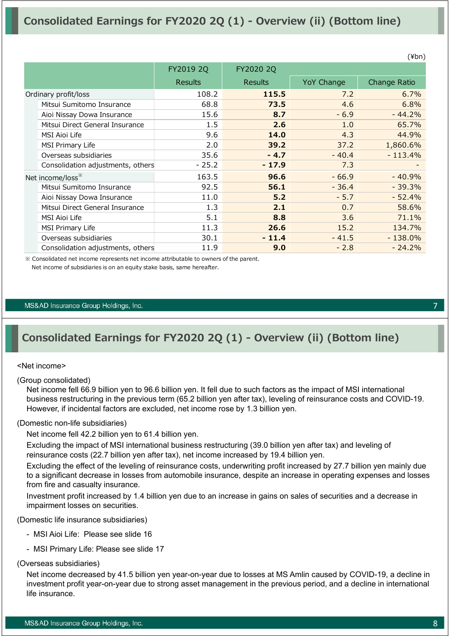|                                   |                |                |            | $\cdots$     |
|-----------------------------------|----------------|----------------|------------|--------------|
|                                   | FY2019 2Q      | FY2020 2Q      |            |              |
|                                   | <b>Results</b> | <b>Results</b> | YoY Change | Change Ratio |
| Ordinary profit/loss              | 108.2          | 115.5          | 7.2        | 6.7%         |
| Mitsui Sumitomo Insurance         | 68.8           | 73.5           | 4.6        | 6.8%         |
| Aioi Nissay Dowa Insurance        | 15.6           | 8.7            | $-6.9$     | $-44.2%$     |
| Mitsui Direct General Insurance   | $1.5\,$        | 2.6            | 1.0        | 65.7%        |
| <b>MSI Aioi Life</b>              | 9.6            | 14.0           | 4.3        | 44.9%        |
| MSI Primary Life                  | 2.0            | 39.2           | 37.2       | 1,860.6%     |
| Overseas subsidiaries             | 35.6           | $-4.7$         | $-40.4$    | $-113.4%$    |
| Consolidation adjustments, others | $-25.2$        | $-17.9$        | 7.3        |              |
| Net income/loss <sup>**</sup>     | 163.5          | 96.6           | $-66.9$    | $-40.9%$     |
| Mitsui Sumitomo Insurance         | 92.5           | 56.1           | $-36.4$    | $-39.3%$     |
| Aioi Nissay Dowa Insurance        | 11.0           | 5.2            | $-5.7$     | $-52.4%$     |
| Mitsui Direct General Insurance   | 1.3            | 2.1            | 0.7        | 58.6%        |
| MSI Aioi Life                     | 5.1            | 8.8            | 3.6        | 71.1%        |
| MSI Primary Life                  | 11.3           | 26.6           | 15.2       | 134.7%       |
| Overseas subsidiaries             | 30.1           | $-11.4$        | $-41.5$    | $-138.0%$    |
| Consolidation adjustments, others | 11.9           | 9.0            | $-2.8$     | $-24.2%$     |

※ Consolidated net income represents net income attributable to owners of the parent. Net income of subsidiaries is on an equity stake basis, same hereafter.

#### MS&AD Insurance Group Holdings, Inc.

### **Consolidated Earnings for FY2020 2Q (1) - Overview (ii) (Bottom line)**

#### <Net income>

(Group consolidated)

Net income fell 66.9 billion yen to 96.6 billion yen. It fell due to such factors as the impact of MSI international business restructuring in the previous term (65.2 billion yen after tax), leveling of reinsurance costs and COVID-19. However, if incidental factors are excluded, net income rose by 1.3 billion yen.

#### (Domestic non-life subsidiaries)

Net income fell 42.2 billion yen to 61.4 billion yen.

Excluding the impact of MSI international business restructuring (39.0 billion yen after tax) and leveling of reinsurance costs (22.7 billion yen after tax), net income increased by 19.4 billion yen.

Excluding the effect of the leveling of reinsurance costs, underwriting profit increased by 27.7 billion yen mainly due to a significant decrease in losses from automobile insurance, despite an increase in operating expenses and losses from fire and casualty insurance.

Investment profit increased by 1.4 billion yen due to an increase in gains on sales of securities and a decrease in impairment losses on securities.

(Domestic life insurance subsidiaries)

- MSI Aioi Life: Please see slide 16
- MSI Primary Life: Please see slide 17

#### (Overseas subsidiaries)

Net income decreased by 41.5 billion yen year-on-year due to losses at MS Amlin caused by COVID-19, a decline in investment profit year-on-year due to strong asset management in the previous period, and a decline in international life insurance.

7

 $(Yhn)$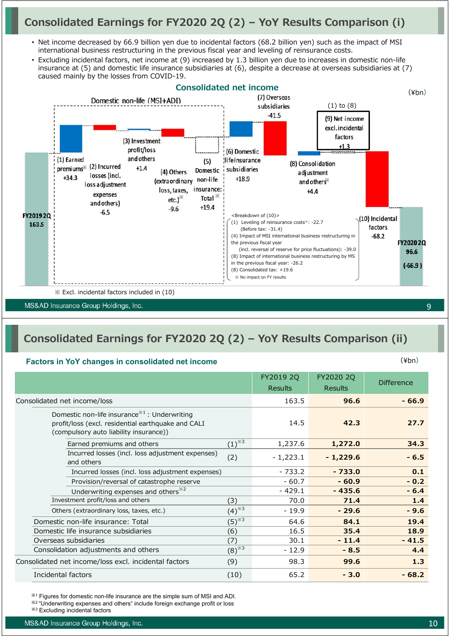# **Consolidated Earnings for FY2020 2Q (2) – YoY Results Comparison (i)**

- Net income decreased by 66.9 billion yen due to incidental factors (68.2 billion yen) such as the impact of MSI international business restructuring in the previous fiscal year and leveling of reinsurance costs.
- Excluding incidental factors, net income at (9) increased by 1.3 billion yen due to increases in domestic non-life insurance at (5) and domestic life insurance subsidiaries at (6), despite a decrease at overseas subsidiaries at (7) caused mainly by the losses from COVID-19.



#### MS&AD Insurance Group Holdings, Inc.

# **Consolidated Earnings for FY2020 2Q (2) – YoY Results Comparison (ii)**

#### **Factors in YoY changes in consolidated net income**

|                                                                                                                                                                       |                       | FY2019 2Q<br><b>Results</b> | FY2020 2Q<br><b>Results</b> | <b>Difference</b> |
|-----------------------------------------------------------------------------------------------------------------------------------------------------------------------|-----------------------|-----------------------------|-----------------------------|-------------------|
| Consolidated net income/loss                                                                                                                                          |                       | 163.5                       | 96.6                        | $-66.9$           |
| Domestic non-life insurance <sup><math>*1</math></sup> : Underwriting<br>profit/loss (excl. residential earthquake and CALI<br>(compulsory auto liability insurance)) |                       | 14.5                        | 42.3                        | 27.7              |
| Earned premiums and others                                                                                                                                            | $(1)^{*\overline{3}}$ | 1,237.6                     | 1,272.0                     | 34.3              |
| Incurred losses (incl. loss adjustment expenses)<br>and others                                                                                                        | (2)                   | $-1,223.1$                  | $-1,229.6$                  | $-6.5$            |
| Incurred losses (incl. loss adjustment expenses)                                                                                                                      |                       | $-733.2$                    | $-733.0$                    | 0.1               |
| Provision/reversal of catastrophe reserve                                                                                                                             |                       | $-60.7$                     | $-60.9$                     | $-0.2$            |
| Underwriting expenses and others <sup>*2</sup>                                                                                                                        |                       | - 429.1                     | $-435.6$                    | $-6.4$            |
| Investment profit/loss and others                                                                                                                                     | (3)                   | 70.0                        | 71.4                        | $1.4$             |
| Others (extraordinary loss, taxes, etc.)                                                                                                                              | $(4)^{2}$             | $-19.9$                     | $-29.6$                     | $-9.6$            |
| Domestic non-life insurance: Total                                                                                                                                    | $(5)^{3/3}$           | 64.6                        | 84.1                        | 19.4              |
| Domestic life insurance subsidiaries                                                                                                                                  | (6)                   | 16.5                        | 35.4                        | 18.9              |
| Overseas subsidiaries                                                                                                                                                 | (7)                   | 30.1                        | $-11.4$                     | $-41.5$           |
| Consolidation adjustments and others                                                                                                                                  | $(8)^{3}$             | $-12.9$                     | $-8.5$                      | 4.4               |
| Consolidated net income/loss excl. incidental factors                                                                                                                 | (9)                   | 98.3                        | 99.6                        | 1.3               |
| Incidental factors                                                                                                                                                    | (10)                  | 65.2                        | $-3.0$                      | $-68.2$           |

※<sup>1</sup> Figures for domestic non-life insurance are the simple sum of MSI and ADI.

※<sup>2</sup> "Underwriting expenses and others" include foreign exchange profit or loss

※<sup>3</sup> Excluding incidental factors

(¥bn)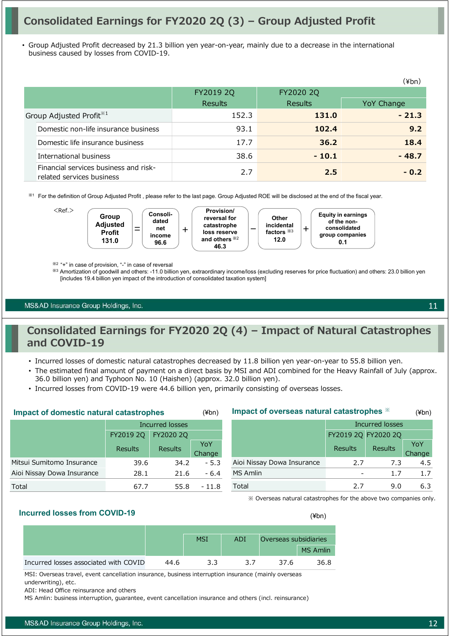# **Consolidated Earnings for FY2020 2Q (3) – Group Adjusted Profit**

• Group Adjusted Profit decreased by 21.3 billion yen year-on-year, mainly due to a decrease in the international business caused by losses from COVID-19.

|                                                                    |           |                | (¥bn)      |
|--------------------------------------------------------------------|-----------|----------------|------------|
|                                                                    | FY2019 2Q | FY2020 2Q      |            |
|                                                                    | Results   | <b>Results</b> | YoY Change |
| Group Adjusted Profit <sup>*1</sup>                                | 152.3     | 131.0          | $-21.3$    |
| Domestic non-life insurance business                               | 93.1      | 102.4          | 9.2        |
| Domestic life insurance business                                   | 17.7      | 36.2           | 18.4       |
| International business                                             | 38.6      | $-10.1$        | $-48.7$    |
| Financial services business and risk-<br>related services business | 2.7       | 2.5            | $-0.2$     |

※<sup>1</sup> For the definition of Group Adjusted Profit , please refer to the last page. Group Adjusted ROE will be disclosed at the end of the fiscal year.



※2 "+" in case of provision, "-" in case of reversal

※<sup>3</sup> Amortization of goodwill and others: -11.0 billion yen, extraordinary income/loss (excluding reserves for price fluctuation) and others: 23.0 billion yen [includes 19.4 billion yen impact of the introduction of consolidated taxation system]

MS&AD Insurance Group Holdings, Inc.

### **Consolidated Earnings for FY2020 2Q (4) – Impact of Natural Catastrophes and COVID-19**

- Incurred losses of domestic natural catastrophes decreased by 11.8 billion yen year-on-year to 55.8 billion yen.
- The estimated final amount of payment on a direct basis by MSI and ADI combined for the Heavy Rainfall of July (approx. 36.0 billion yen) and Typhoon No. 10 (Haishen) (approx. 32.0 billion yen).
- Incurred losses from COVID-19 were 44.6 billion yen, primarily consisting of overseas losses.

| <b>Impact of domestic natural catastrophes</b> |                |                 | $(\n  4bn)$ | Impact of overseas natural catastrophes *                                                                                                                                                                                                  |                     |                        |        |
|------------------------------------------------|----------------|-----------------|-------------|--------------------------------------------------------------------------------------------------------------------------------------------------------------------------------------------------------------------------------------------|---------------------|------------------------|--------|
|                                                |                | Incurred losses |             |                                                                                                                                                                                                                                            |                     | <b>Incurred losses</b> |        |
|                                                | FY2019 2Q      | FY2020 2Q       |             |                                                                                                                                                                                                                                            | FY2019 2Q FY2020 2Q |                        |        |
|                                                | <b>Results</b> | <b>Results</b>  | YoY         |                                                                                                                                                                                                                                            | Results             | <b>Results</b>         | YoY    |
|                                                |                |                 | Change      |                                                                                                                                                                                                                                            |                     |                        | Change |
| Mitsui Sumitomo Insurance                      | 39.6           | 34.2            | $-5.3$      | Aioi Nissay Dowa Insurance                                                                                                                                                                                                                 | 2.7                 | 7.3                    | 4.5    |
| Aioi Nissay Dowa Insurance                     | 28.1           | 21.6            | $-6.4$      | MS Amlin                                                                                                                                                                                                                                   |                     |                        | 1.7    |
| Total                                          | 67.7           | 55.8            | - 11.8      | Total                                                                                                                                                                                                                                      | 2.7                 | 9.0                    | 6.3    |
|                                                |                |                 |             | $\mathbf{u} \cdot \mathbf{v}$ , and the contract of the contract of the contract of the contract of the contract of the contract of the contract of the contract of the contract of the contract of the contract of the contract of the co |                     |                        |        |

※ Overseas natural catastrophes for the above two companies only.

### **Incurred losses from COVID-19** (¥bn)

|                                       |      | <b>MSI</b> | ADI | Overseas subsidiaries |                 |
|---------------------------------------|------|------------|-----|-----------------------|-----------------|
|                                       |      |            |     |                       | <b>MS Amlin</b> |
| Incurred losses associated with COVID | 44.6 | っっ         | 37  | 37.6                  | 36.8            |

MSI: Overseas travel, event cancellation insurance, business interruption insurance (mainly overseas underwriting), etc.

ADI: Head Office reinsurance and others

MS Amlin: business interruption, guarantee, event cancellation insurance and others (incl. reinsurance)

11

(¥bn)

hange 4.5 1.7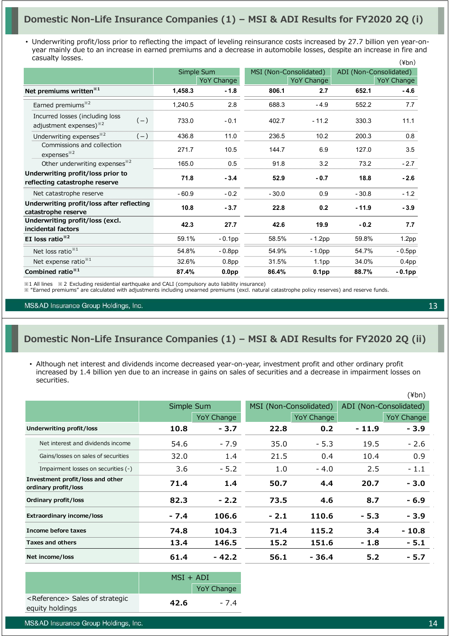### **Domestic Non-Life Insurance Companies (1) – MSI & ADI Results for FY2020 2Q (i)**

• Underwriting profit/loss prior to reflecting the impact of leveling reinsurance costs increased by 27.7 billion yen year-onyear mainly due to an increase in earned premiums and a decrease in automobile losses, despite an increase in fire and casualty losses.  $(\frac{1}{2}$ hn)

|                                                                                | Simple Sum |                   |         | MSI (Non-Consolidated) | ADI (Non-Consolidated) |                   |  |
|--------------------------------------------------------------------------------|------------|-------------------|---------|------------------------|------------------------|-------------------|--|
|                                                                                |            | <b>YoY Change</b> |         | YoY Change             |                        | YoY Change        |  |
| Net premiums written <sup>*1</sup>                                             | 1,458.3    | - 1.8             | 806.1   | 2.7                    | 652.1                  | $-4.6$            |  |
| Earned premiums <sup>*2</sup>                                                  | 1,240.5    | 2.8               | 688.3   | $-4.9$                 | 552.2                  | 7.7               |  |
| Incurred losses (including loss<br>$(-)$<br>adjustment expenses) <sup>32</sup> | 733.0      | $-0.1$            | 402.7   | $-11.2$                | 330.3                  | 11.1              |  |
| Underwriting expenses <sup>*2</sup><br>$(-)$                                   | 436.8      | 11.0              | 236.5   | 10.2                   | 200.3                  | 0.8               |  |
| Commissions and collection<br>expenses <sup>32</sup>                           | 271.7      | 10.5              | 144.7   | 6.9                    | 127.0                  | 3.5               |  |
| Other underwriting expenses <sup>*2</sup>                                      | 165.0      | 0.5               | 91.8    | 3.2                    | 73.2                   | $-2.7$            |  |
| Underwriting profit/loss prior to<br>reflecting catastrophe reserve            | 71.8       | $-3.4$            | 52.9    | $-0.7$                 | 18.8                   | $-2.6$            |  |
| Net catastrophe reserve                                                        | $-60.9$    | $-0.2$            | $-30.0$ | 0.9                    | $-30.8$                | $-1.2$            |  |
| Underwriting profit/loss after reflecting<br>catastrophe reserve               | 10.8       | $-3.7$            | 22.8    | 0.2                    | $-11.9$                | $-3.9$            |  |
| Underwriting profit/loss (excl.<br>incidental factors                          | 42.3       | 27.7              | 42.6    | 19.9                   | $-0.2$                 | 7.7               |  |
| EI loss ratio <sup>*2</sup>                                                    | 59.1%      | $-0.1$ pp         | 58.5%   | $-1.2$ pp              | 59.8%                  | 1.2 <sub>pp</sub> |  |
| Net loss ratio <sup>**1</sup>                                                  | 54.8%      | $-0.8pp$          | 54.9%   | $-1.0pp$               | 54.7%                  | $-0.5$ pp         |  |
| Net expense ratio <sup>*1</sup>                                                | 32.6%      | 0.8 <sub>pp</sub> | 31.5%   | 1.1 <sub>pp</sub>      | 34.0%                  | 0.4 <sub>pp</sub> |  |
| Combined ratio <sup>*1</sup>                                                   | 87.4%      | 0.0 <sub>pp</sub> | 86.4%   | 0.1 <sub>pp</sub>      | 88.7%                  | $-0.1$ pp         |  |

※1 All lines ※2 Excluding residential earthquake and CALI (compulsory auto liability insurance)

※ "Earned premiums" are calculated with adjustments including unearned premiums (excl. natural catastrophe policy reserves) and reserve funds.

MS&AD Insurance Group Holdings, Inc.

### **Domestic Non-Life Insurance Companies (1) – MSI & ADI Results for FY2020 2Q (ii)**

• Although net interest and dividends income decreased year-on-year, investment profit and other ordinary profit increased by 1.4 billion yen due to an increase in gains on sales of securities and a decrease in impairment losses on securities.

|                                                          |        |                   |        |                        |         | $(\n{Fbn})$            |
|----------------------------------------------------------|--------|-------------------|--------|------------------------|---------|------------------------|
|                                                          |        | Simple Sum        |        | MSI (Non-Consolidated) |         | ADI (Non-Consolidated) |
|                                                          |        | <b>YoY Change</b> |        | YoY Change             |         | <b>YoY Change</b>      |
| Underwriting profit/loss                                 | 10.8   | $-3.7$            | 22.8   | 0.2                    | $-11.9$ | - 3.9                  |
| Net interest and dividends income                        | 54.6   | $-7.9$            | 35.0   | $-5.3$                 | 19.5    | $-2.6$                 |
| Gains/losses on sales of securities                      | 32.0   | 1.4               | 21.5   | 0.4                    | 10.4    | 0.9                    |
| Impairment losses on securities (-)                      | 3.6    | $-5.2$            | 1.0    | $-4.0$                 | 2.5     | $-1.1$                 |
| Investment profit/loss and other<br>ordinary profit/loss | 71.4   | 1.4               | 50.7   | 4.4                    | 20.7    | $-3.0$                 |
| Ordinary profit/loss                                     | 82.3   | $-2.2$            | 73.5   | 4.6                    | 8.7     | - 6.9                  |
| <b>Extraordinary income/loss</b>                         | $-7.4$ | 106.6             | $-2.1$ | 110.6                  | $-5.3$  | - 3.9                  |
| Income before taxes                                      | 74.8   | 104.3             | 71.4   | 115.2                  | 3.4     | $-10.8$                |
| <b>Taxes and others</b>                                  | 13.4   | 146.5             | 15.2   | 151.6                  | $-1.8$  | $-5.1$                 |
| Net income/loss                                          | 61.4   | $-42.2$           | 56.1   | - 36.4                 | 5.2     | - 5.7                  |

|                                            | $MSI + ADI$ |                   |
|--------------------------------------------|-------------|-------------------|
|                                            |             | <b>YoY Change</b> |
| <reference> Sales of strategic</reference> | 42.6        | $-7.4$            |
| equity holdings                            |             |                   |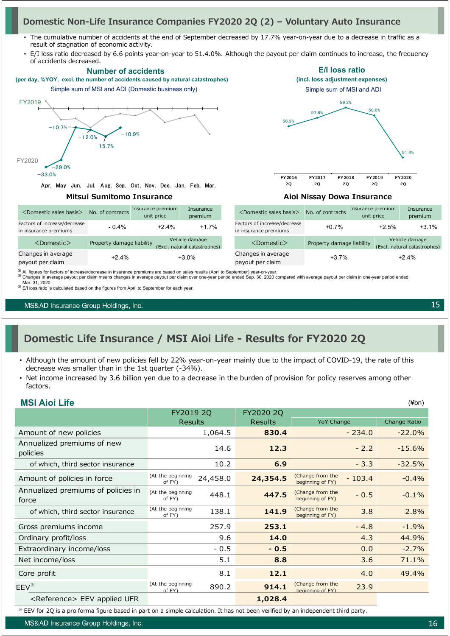### **Domestic Non-Life Insurance Companies FY2020 2Q (2) – Voluntary Auto Insurance**

- The cumulative number of accidents at the end of September decreased by 17.7% year-on-year due to a decrease in traffic as a result of stagnation of economic activity.
- E/I loss ratio decreased by 6.6 points year-on-year to 51.4.0%. Although the payout per claim continues to increase, the frequency of accidents decreased.



<sup>※</sup> E/I loss ratio is calculated based on the figures from April to September for each year

MS&AD Insurance Group Holdings, Inc.

**MSI Aioi Life**

# **Domestic Life Insurance / MSI Aioi Life - Results for FY2020 2Q**

- Although the amount of new policies fell by 22% year-on-year mainly due to the impact of COVID-19, the rate of this decrease was smaller than in the 1st quarter (-34%).
- Net income increased by 3.6 billion yen due to a decrease in the burden of provision for policy reserves among other factors.

|                             |          |                             |                                      |        | $(\n{Fbn})$                               |
|-----------------------------|----------|-----------------------------|--------------------------------------|--------|-------------------------------------------|
|                             |          | FY2020 2Q                   |                                      |        |                                           |
|                             |          | <b>Results</b>              |                                      |        | Change Ratio                              |
|                             | 1,064.5  | 830.4                       |                                      |        | $-22.0%$                                  |
|                             | 14.6     | 12.3                        |                                      | $-2.2$ | $-15.6%$                                  |
|                             | 10.2     | 6.9                         |                                      | $-3.3$ | $-32.5%$                                  |
| (At the beginning<br>of FY) | 24,458.0 | 24,354.5                    | (Change from the<br>beginning of FY) |        | $-0.4%$                                   |
| (At the beginning<br>of FY) | 448.1    | 447.5                       | (Change from the<br>beginning of FY) | $-0.5$ | $-0.1%$                                   |
| (At the beginning<br>of FY) | 138.1    | 141.9                       | (Change from the<br>beginning of FY) | 3.8    | 2.8%                                      |
|                             | 257.9    | 253.1                       |                                      | $-4.8$ | $-1.9%$                                   |
|                             | 9.6      | 14.0                        |                                      | 4.3    | 44.9%                                     |
|                             | $-0.5$   | $-0.5$                      |                                      | 0.0    | $-2.7%$                                   |
|                             | 5.1      | 8.8                         |                                      | 3.6    | 71.1%                                     |
|                             | 8.1      | 12.1                        |                                      | 4.0    | 49.4%                                     |
| (At the beginning<br>of FY  | 890.2    | 914.1                       | (Change from the<br>beginning of FY) | 23.9   |                                           |
|                             |          | 1,028.4                     |                                      |        |                                           |
|                             |          | FY2019 2Q<br><b>Results</b> |                                      |        | <b>YoY Change</b><br>$-234.0$<br>$-103.4$ |

※ EEV for 2Q is a pro forma figure based in part on a simple calculation. It has not been verified by an independent third party.

MS&AD Insurance Group Holdings, Inc.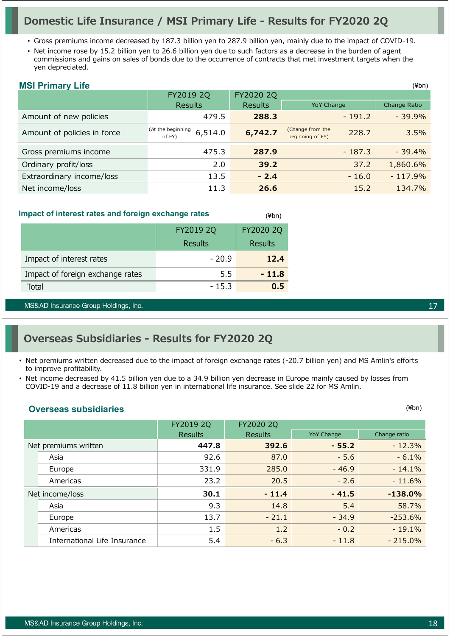### **Domestic Life Insurance / MSI Primary Life - Results for FY2020 2Q**

- Gross premiums income decreased by 187.3 billion yen to 287.9 billion yen, mainly due to the impact of COVID-19.
- Net income rose by 15.2 billion yen to 26.6 billion yen due to such factors as a decrease in the burden of agent commissions and gains on sales of bonds due to the occurrence of contracts that met investment targets when the yen depreciated.

### **MSI Primary Life**

|                             |                                        |                |                                               | , <i>.</i>   |
|-----------------------------|----------------------------------------|----------------|-----------------------------------------------|--------------|
|                             | FY2019 2Q                              | FY2020 2Q      |                                               |              |
|                             | <b>Results</b>                         | <b>Results</b> | <b>YoY Change</b>                             | Change Ratio |
| Amount of new policies      | 479.5                                  | 288.3          | $-191.2$                                      | $-39.9%$     |
| Amount of policies in force | (At the beginning<br>6,514.0<br>of FY) | 6,742.7        | (Change from the<br>228.7<br>beginning of FY) | 3.5%         |
| Gross premiums income       | 475.3                                  | 287.9          | $-187.3$                                      | $-39.4%$     |
| Ordinary profit/loss        | 2.0                                    | 39.2           | 37.2                                          | 1,860.6%     |
| Extraordinary income/loss   | 13.5                                   | $-2.4$         | $-16.0$                                       | $-117.9%$    |
| Net income/loss             | 11.3                                   | 26.6           | 15.2                                          | 134.7%       |

(¥bn)

#### **Impact of interest rates and foreign exchange rates**

|                                  | FY2019 2Q | FY2020 2Q |
|----------------------------------|-----------|-----------|
|                                  | Results   | Results   |
| Impact of interest rates         | $-20.9$   | 12.4      |
| Impact of foreign exchange rates | 5.5       | $-11.8$   |
| Total                            | $-15.3$   | ი 5       |

MS&AD Insurance Group Holdings, Inc.

### **Overseas Subsidiaries - Results for FY2020 2Q**

- Net premiums written decreased due to the impact of foreign exchange rates (-20.7 billion yen) and MS Amlin's efforts to improve profitability.
- Net income decreased by 41.5 billion yen due to a 34.9 billion yen decrease in Europe mainly caused by losses from COVID-19 and a decrease of 11.8 billion yen in international life insurance. See slide 22 for MS Amlin.

### **Overseas subsidiaries**

|                              | FY2019 2Q      | FY2020 2Q      |                   |              |
|------------------------------|----------------|----------------|-------------------|--------------|
|                              | <b>Results</b> | <b>Results</b> | <b>YoY Change</b> | Change ratio |
| Net premiums written         | 447.8          | 392.6          | $-55.2$           | $-12.3%$     |
| Asia                         | 92.6           | 87.0           | $-5.6$            | $-6.1%$      |
| Europe                       | 331.9          | 285.0          | $-46.9$           | $-14.1%$     |
| Americas                     | 23.2           | 20.5           | $-2.6$            | $-11.6%$     |
| Net income/loss              | 30.1           | $-11.4$        | $-41.5$           | $-138.0%$    |
| Asia                         | 9.3            | 14.8           | 5.4               | 58.7%        |
| Europe                       | 13.7           | $-21.1$        | $-34.9$           | $-253.6%$    |
| Americas                     | 1.5            | 1.2            | $-0.2$            | $-19.1%$     |
| International Life Insurance | 5.4            | $-6.3$         | $-11.8$           | $-215.0\%$   |

(¥bn)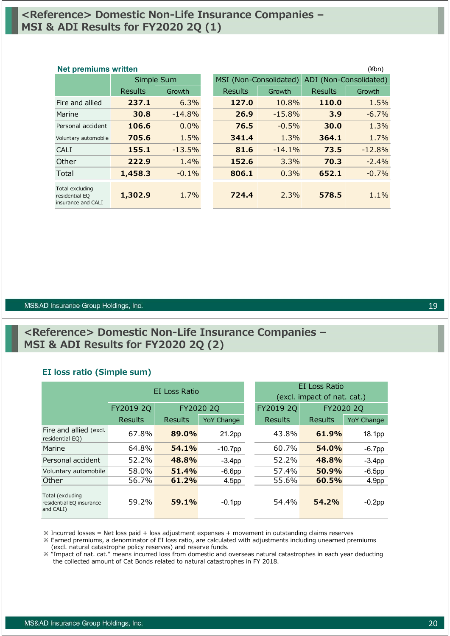### **<Reference> Domestic Non-Life Insurance Companies – MSI & ADI Results for FY2020 2Q (1)**

### Results Growth Results Growth Results Growth Fire and allied **237.1** 6.3% **127.0** 10.8% **110.0** 1.5% Marine **30.8** -14.8% **26.9** -15.8% **3.9** -6.7% Personal accident **106.6** 0.0% **76.5** -0.5% **30.0** 1.3% Voluntary automobile **705.6** 1.5% **341.4** 1.3% **364.1** 1.7% CALI **155.1** -13.5% **81.6** -14.1% **73.5** -12.8% Other **222.9** 1.4% **152.6** 3.3% **70.3** -2.4% Total **1,458.3** -0.1% **806.1** 0.3% **652.1** -0.7% Total excluding residential EQ insurance and CALI **1,302.9** 1.7% **724.4** 2.3% **578.5** 1.1% Simple Sum MSI (Non-Consolidated) ADI (Non-Consolidated) **Net premiums written** (¥bn)

#### MS&AD Insurance Group Holdings, Inc.

### **<Reference> Domestic Non-Life Insurance Companies – MSI & ADI Results for FY2020 2Q (2)**

### **EI loss ratio (Simple sum)**

|                                                           |           | EI Loss Ratio  |                   |                        | EI Loss Ratio<br>(excl. impact of nat. cat.) |                   |  |  |
|-----------------------------------------------------------|-----------|----------------|-------------------|------------------------|----------------------------------------------|-------------------|--|--|
|                                                           | FY2019 2Q | FY2020 2Q      |                   | FY2019 2Q<br>FY2020 2Q |                                              |                   |  |  |
|                                                           | Results   | <b>Results</b> | <b>YoY Change</b> | Results                | Results                                      | <b>YoY Change</b> |  |  |
| Fire and allied (excl.<br>residential EQ)                 | 67.8%     | 89.0%          | 21.2pp            | 43.8%                  | 61.9%                                        | 18.1pp            |  |  |
| Marine                                                    | 64.8%     | 54.1%          | $-10.7$ pp        | 60.7%                  | 54.0%                                        | $-6.7$ pp         |  |  |
| Personal accident                                         | 52.2%     | 48.8%          | $-3.4pp$          | 52.2%                  | 48.8%                                        | $-3.4pp$          |  |  |
| Voluntary automobile                                      | 58.0%     | 51.4%          | $-6.6pp$          | 57.4%                  | 50.9%                                        | $-6.5$ pp         |  |  |
| Other                                                     | 56.7%     | 61.2%          | 4.5pp             | 55.6%                  | 60.5%                                        | 4.9 <sub>pp</sub> |  |  |
| Total (excluding<br>residential EQ insurance<br>and CALI) | 59.2%     | 59.1%          | $-0.1$ pp         | 54.4%                  | 54.2%                                        | $-0.2$ pp         |  |  |

※ Incurred losses = Net loss paid + loss adjustment expenses + movement in outstanding claims reserves

※ Earned premiums, a denominator of EI loss ratio, are calculated with adjustments including unearned premiums (excl. natural catastrophe policy reserves) and reserve funds.

※ "Impact of nat. cat." means incurred loss from domestic and overseas natural catastrophes in each year deducting the collected amount of Cat Bonds related to natural catastrophes in FY 2018.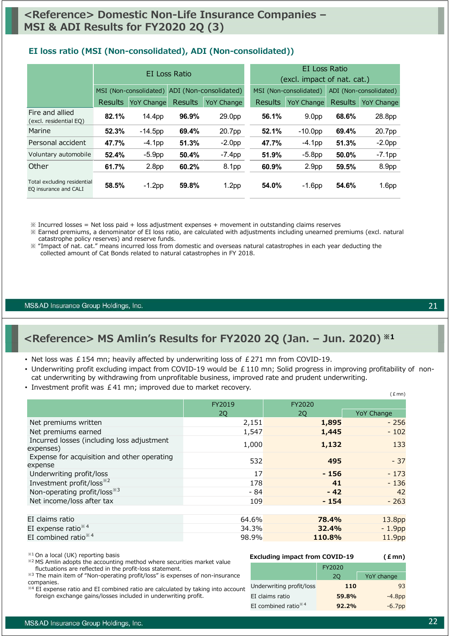#### **EI loss ratio (MSI (Non-consolidated), ADI (Non-consolidated))**

|                                                      | EI Loss Ratio  |                   |                |                                               | EI Loss Ratio<br>(excl. impact of nat. cat.) |                   |                        |                   |
|------------------------------------------------------|----------------|-------------------|----------------|-----------------------------------------------|----------------------------------------------|-------------------|------------------------|-------------------|
|                                                      |                |                   |                | MSI (Non-consolidated) ADI (Non-consolidated) | MSI (Non-consolidated)                       |                   | ADI (Non-consolidated) |                   |
|                                                      | <b>Results</b> | <b>YoY Change</b> | <b>Results</b> | <b>YoY Change</b>                             | <b>Results</b>                               | <b>YoY Change</b> | <b>Results</b>         | <b>YoY Change</b> |
| Fire and allied<br>(excl. residential EQ)            | 82.1%          | 14.4pp            | 96.9%          | 29.0pp                                        | 56.1%                                        | 9.0 <sub>pp</sub> | 68.6%                  | 28.8pp            |
| Marine                                               | 52.3%          | $-14.5$ pp        | 69.4%          | 20.7pp                                        | 52.1%                                        | $-10.0pp$         | 69.4%                  | 20.7pp            |
| Personal accident                                    | 47.7%          | $-4.1$ pp         | 51.3%          | $-2.0pp$                                      | 47.7%                                        | $-4.1$ pp         | 51.3%                  | $-2.0pp$          |
| Voluntary automobile                                 | 52.4%          | $-5.9pp$          | 50.4%          | $-7.4$ pp                                     | 51.9%                                        | $-5.8pp$          | 50.0%                  | $-7.1$ pp         |
| Other                                                | 61.7%          | 2.8 <sub>pp</sub> | 60.2%          | 8.1pp                                         | 60.9%                                        | 2.9 <sub>pp</sub> | 59.5%                  | 8.9pp             |
| Total excluding residential<br>EQ insurance and CALI | 58.5%          | $-1.2$ pp         | 59.8%          | 1.2 <sub>pp</sub>                             | 54.0%                                        | $-1.6$ pp         | 54.6%                  | 1.6 <sub>pp</sub> |

 $\%$  Incurred losses = Net loss paid + loss adjustment expenses + movement in outstanding claims reserves

※ Earned premiums, a denominator of EI loss ratio, are calculated with adjustments including unearned premiums (excl. natural catastrophe policy reserves) and reserve funds.

※ "Impact of nat. cat." means incurred loss from domestic and overseas natural catastrophes in each year deducting the collected amount of Cat Bonds related to natural catastrophes in FY 2018.

MS&AD Insurance Group Holdings, Inc.

### **<Reference> MS Amlin's Results for FY2020 2Q (Jan. – Jun. 2020) ※1**

- Net loss was  $£154$  mn; heavily affected by underwriting loss of  $£271$  mn from COVID-19.
- Underwriting profit excluding impact from COVID-19 would be  $£110$  mn; Solid progress in improving profitability of noncat underwriting by withdrawing from unprofitable business, improved rate and prudent underwriting.
- Investment profit was £41 mn; improved due to market recovery.

|                                                         | FY2019 | FY2020 |                    |
|---------------------------------------------------------|--------|--------|--------------------|
|                                                         | 2Q     | 2Q     | <b>YoY Change</b>  |
| Net premiums written                                    | 2,151  | 1,895  | $-256$             |
| Net premiums earned                                     | 1,547  | 1,445  | $-102$             |
| Incurred losses (including loss adjustment<br>expenses) | 1,000  | 1,132  | 133                |
| Expense for acquisition and other operating<br>expense  | 532    | 495    | $-37$              |
| Underwriting profit/loss                                | 17     | $-156$ | $-173$             |
| Investment profit/loss <sup>*2</sup>                    | 178    | 41     | $-136$             |
| Non-operating profit/loss <sup>*3</sup>                 | $-84$  | $-42$  | 42                 |
| Net income/loss after tax                               | 109    | $-154$ | $-263$             |
|                                                         |        |        |                    |
| EI claims ratio                                         | 64.6%  | 78.4%  | 13.8 <sub>pp</sub> |
| EI expense ratio $*4$                                   | 34.3%  | 32.4%  | $-1.9pp$           |
| EI combined ratio $*4$                                  | 98.9%  | 110.8% | 11.9pp             |

※1 On a local (UK) reporting basis

- ※2 MS Amlin adopts the accounting method where securities market value fluctuations are reflected in the profit-loss statement.
- ※3 The main item of "Non-operating profit/loss" is expenses of non-insurance companies.

※4 EI expense ratio and EI combined ratio are calculated by taking into account foreign exchange gains/losses included in underwriting profit.

### **Excluding impact from COVID-19 (£mn)**

|      | FY2020 |            |
|------|--------|------------|
|      | 20     | YoY change |
| l∩cc | 11 N   |            |

|    |                                 |       | YoY change |
|----|---------------------------------|-------|------------|
| ht | Underwriting profit/loss        | 110   | 93         |
|    | EI claims ratio                 | 59.8% | $-4.8pp$   |
|    | EI combined ratio <sup>**</sup> | 92.2% | $-6.7pp$   |
|    |                                 |       |            |

 $(f$ mn)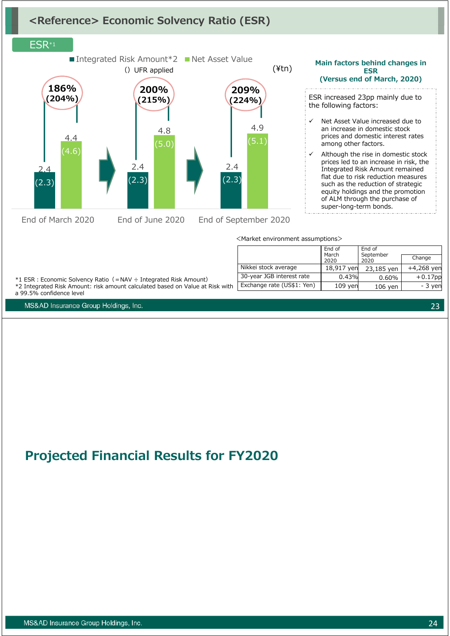# **<Reference> Economic Solvency Ratio (ESR)**

#### ESR\*1 2.4  $(2.3)$ 2.4  $(2.3)$ 2.4  $(2.3)$ 4.4  $'4.6$ 4.8 (5.0) 4.9  $(5.1)$ ■ Integrated Risk Amount  $*2$  Net Asset Value **186% (204%)** ()UFR applied (¥tn) **200% (215%) 209% (224%)**

End of March 2020 End of June 2020 End of September 2020

|                            | End of        | End of            |              |
|----------------------------|---------------|-------------------|--------------|
|                            | March<br>2020 | September<br>2020 | Change       |
| Nikkei stock average       | 18,917 yen    | 23,185 yen        | $+4,268$ yen |
| 30-year JGB interest rate  | 0.43%         | 0.60%             | $+0.17$ pp   |
| Exchange rate (US\$1: Yen) | $109$ yen     | 106 yen           | - 3 yen      |

\*1 ESR︓Economic Solvency Ratio(=NAV ÷ Integrated Risk Amount)

\*2 Integrated Risk Amount: risk amount calculated based on Value at Risk with a 99.5% confidence level

MS&AD Insurance Group Holdings, Inc.

# **Projected Financial Results for FY2020**

MS&AD Insurance Group Holdings, Inc.

23

#### **Main factors behind changes in ESR (Versus end of March, 2020)** . . . . . . . . . . . .

ESR increased 23pp mainly due to the following factors:

- Net Asset Value increased due to an increase in domestic stock prices and domestic interest rates among other factors.
- Although the rise in domestic stock prices led to an increase in risk, the Integrated Risk Amount remained flat due to risk reduction measures such as the reduction of strategic equity holdings and the promotion of ALM through the purchase of super-long-term bonds.

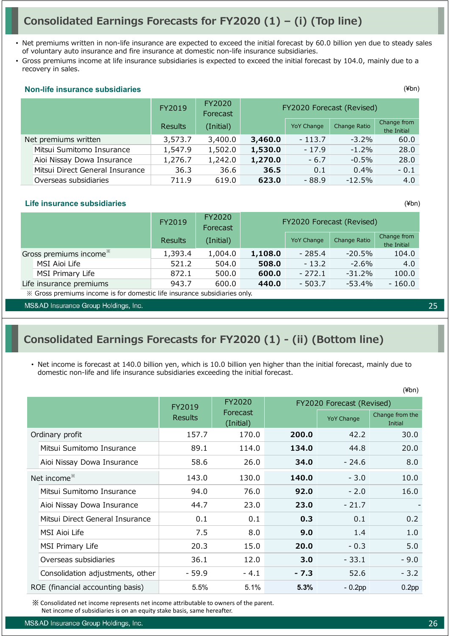# **Consolidated Earnings Forecasts for FY2020 (1) – (i) (Top line)**

- Net premiums written in non-life insurance are expected to exceed the initial forecast by 60.0 billion yen due to steady sales of voluntary auto insurance and fire insurance at domestic non-life insurance subsidiaries.
- Gross premiums income at life insurance subsidiaries is expected to exceed the initial forecast by 104.0, mainly due to a recovery in sales.

#### **Non-life insurance subsidiaries**

|                                 | FY2019  | FY2020<br>Forecast | FY2020 Forecast (Revised)       |                   |              |                            |
|---------------------------------|---------|--------------------|---------------------------------|-------------------|--------------|----------------------------|
|                                 | Results | (Initial)          |                                 | <b>YoY Change</b> | Change Ratio | Change from<br>the Initial |
| Net premiums written            | 3,573.7 | 3,400.0            | 3,460.0<br>$-113.7$<br>$-3.2\%$ |                   | 60.0         |                            |
| Mitsui Sumitomo Insurance       | 1,547.9 | 1,502.0            | 1,530.0                         | $-17.9$           | $-1.2\%$     | 28.0                       |
| Aioi Nissay Dowa Insurance      | 1,276.7 | 1,242.0            | 1,270.0                         | $-6.7$            | $-0.5\%$     | 28.0                       |
| Mitsui Direct General Insurance | 36.3    | 36.6               | 36.5                            | 0.1               | $0.4\%$      | $-0.1$                     |
| Overseas subsidiaries           | 711.9   | 619.0              | 623.0                           | $-88.9$           | $-12.5%$     | 4.0                        |

#### **Life insurance subsidiaries**

|                                    | FY2019         | FY2020<br>Forecast | FY2020 Forecast (Revised) |                   |              |                            |
|------------------------------------|----------------|--------------------|---------------------------|-------------------|--------------|----------------------------|
|                                    | <b>Results</b> | (Initial)          |                           | <b>YoY Change</b> | Change Ratio | Change from<br>the Initial |
| Gross premiums income <sup>*</sup> | 1,393.4        | 1,004.0            | 1,108.0                   | $-285.4$          | $-20.5%$     | 104.0                      |
| MSI Aioi Life                      | 521.2          | 504.0              | 508.0                     | $-13.2$           | $-2.6\%$     | 4.0                        |
| MSI Primary Life                   | 872.1          | 500.0              | 600.0                     | $-272.1$          | $-31.2%$     | 100.0                      |
| Life insurance premiums            | 943.7          | 600.0              | 440.0                     | $-503.7$          | -53.4%       | $-160.0$                   |

※ Gross premiums income is for domestic life insurance subsidiaries only.

MS&AD Insurance Group Holdings, Inc.

### **Consolidated Earnings Forecasts for FY2020 (1) - (ii) (Bottom line)**

• Net income is forecast at 140.0 billion yen, which is 10.0 billion yen higher than the initial forecast, mainly due to domestic non-life and life insurance subsidiaries exceeding the initial forecast.

| ווע+ן                                                                 |                |                       |          |                           |                            |  |
|-----------------------------------------------------------------------|----------------|-----------------------|----------|---------------------------|----------------------------|--|
|                                                                       | FY2019         | FY2020                |          | FY2020 Forecast (Revised) |                            |  |
|                                                                       | <b>Results</b> | Forecast<br>(Initial) |          | <b>YoY Change</b>         | Change from the<br>Initial |  |
| Ordinary profit                                                       | 157.7          | 170.0                 | 200.0    | 42.2                      | 30.0                       |  |
| Mitsui Sumitomo Insurance                                             | 89.1           | 114.0                 | 134.0    | 44.8                      | 20.0                       |  |
| Aioi Nissay Dowa Insurance                                            | 58.6           | 26.0                  | 34.0     | $-24.6$                   | 8.0                        |  |
| Net income <sup>*</sup>                                               | 143.0          | 130.0                 | 140.0    | $-3.0$                    | 10.0                       |  |
| Mitsui Sumitomo Insurance                                             | 94.0           | 76.0                  | 92.0     | $-2.0$                    | 16.0                       |  |
| Aioi Nissay Dowa Insurance                                            | 44.7           | 23.0                  | 23.0     | $-21.7$                   |                            |  |
| Mitsui Direct General Insurance                                       | 0.1            | 0.1                   | 0.3      | 0.1                       | 0.2                        |  |
| MSI Aioi Life                                                         | 7.5            | 8.0                   | 9.0      | 1.4                       | 1.0                        |  |
| MSI Primary Life                                                      | 20.3           | 15.0                  | 20.0     | $-0.3$                    | 5.0                        |  |
| Overseas subsidiaries                                                 | 36.1           | 12.0                  | 3.0      | $-33.1$                   | $-9.0$                     |  |
| Consolidation adjustments, other                                      | $-59.9$        | $-4.1$                | $-7.3$   | 52.6                      | $-3.2$                     |  |
| ROE (financial accounting basis)<br>5.5%<br>5.1%<br>$-0.2$ pp<br>5.3% |                |                       | $0.2$ pp |                           |                            |  |

※ Consolidated net income represents net income attributable to owners of the parent.

Net income of subsidiaries is on an equity stake basis, same hereafter.

MS&AD Insurance Group Holdings, Inc.

25

 $(Vhn)$ 

(¥bn)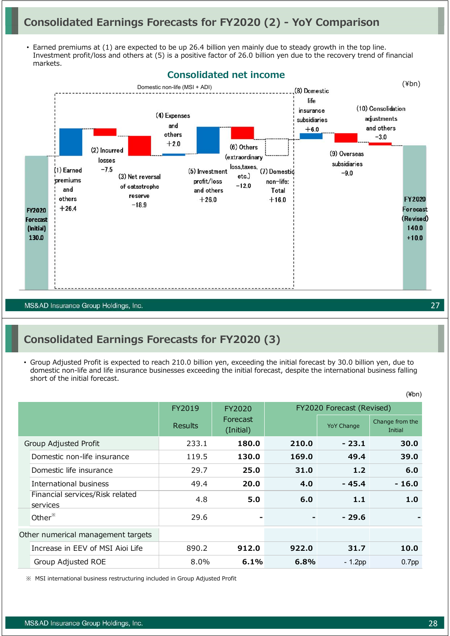## **Consolidated Earnings Forecasts for FY2020 (2) - YoY Comparison**

• Earned premiums at (1) are expected to be up 26.4 billion yen mainly due to steady growth in the top line. Investment profit/loss and others at (5) is a positive factor of 26.0 billion yen due to the recovery trend of financial markets.



MS&AD Insurance Group Holdings, Inc.

### **Consolidated Earnings Forecasts for FY2020 (3)**

• Group Adjusted Profit is expected to reach 210.0 billion yen, exceeding the initial forecast by 30.0 billion yen, due to domestic non-life and life insurance businesses exceeding the initial forecast, despite the international business falling short of the initial forecast.

|                                             | FY2019         | FY2020                |       | FY2020 Forecast (Revised) |                            |
|---------------------------------------------|----------------|-----------------------|-------|---------------------------|----------------------------|
|                                             | <b>Results</b> | Forecast<br>(Initial) |       | <b>YoY Change</b>         | Change from the<br>Initial |
| Group Adjusted Profit                       | 233.1          | 180.0                 | 210.0 | $-23.1$                   | 30.0                       |
| Domestic non-life insurance                 | 119.5          | 130.0                 | 169.0 | 49.4                      | 39.0                       |
| Domestic life insurance                     | 29.7           | 25.0                  | 31.0  | 1.2                       | 6.0                        |
| International business                      | 49.4           | 20.0                  | 4.0   | $-45.4$                   | $-16.0$                    |
| Financial services/Risk related<br>services | 4.8            | 5.0                   | 6.0   | 1.1                       | 1.0                        |
| Other <sup>*</sup>                          | 29.6           |                       |       | $-29.6$                   |                            |
| Other numerical management targets          |                |                       |       |                           |                            |
| Increase in EEV of MSI Aioi Life            | 890.2          | 912.0                 | 922.0 | 31.7                      | 10.0                       |
| Group Adjusted ROE                          | 8.0%           | 6.1%                  | 6.8%  | $-1.2$ pp                 | 0.7 <sub>pp</sub>          |

※ MSI international business restructuring included in Group Adjusted Profit

27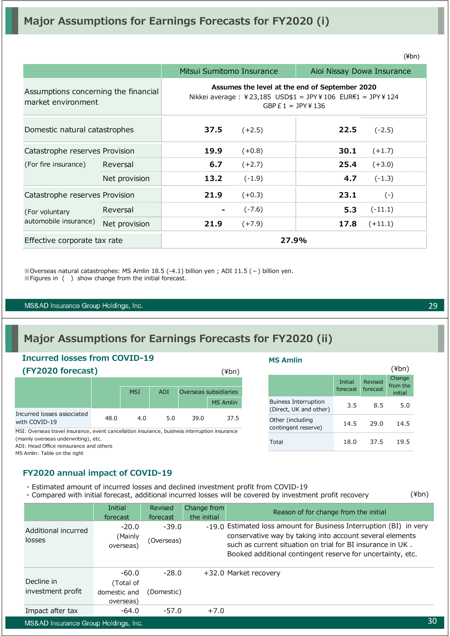|                                                            |               | Mitsui Sumitomo Insurance |                      | Aioi Nissay Dowa Insurance                                                                                  |           |
|------------------------------------------------------------|---------------|---------------------------|----------------------|-------------------------------------------------------------------------------------------------------------|-----------|
| Assumptions concerning the financial<br>market environment |               |                           | GBP $E1 = JPY$ ¥ 136 | Assumes the level at the end of September 2020<br>Nikkei average : ¥23,185 USD\$1 = JPY¥106 EUR€1 = JPY¥124 |           |
| Domestic natural catastrophes                              |               | 37.5                      | $(+2.5)$             | 22.5                                                                                                        | $(-2.5)$  |
| Catastrophe reserves Provision                             |               | 19.9                      | $(+0.8)$             | 30.1                                                                                                        | $(+1.7)$  |
| (For fire insurance)                                       | Reversal      | 6.7                       | $(+2.7)$             | 25.4                                                                                                        | $(+3.0)$  |
|                                                            | Net provision | 13.2                      | $(-1.9)$             | 4.7                                                                                                         | $(-1.3)$  |
| Catastrophe reserves Provision                             |               | 21.9                      | $(+0.3)$             | 23.1                                                                                                        | $(-)$     |
| (For voluntary                                             | Reversal      |                           | $(-7.6)$             | 5.3                                                                                                         | $(-11.1)$ |
| automobile insurance)                                      | Net provision | 21.9                      | $(+7.9)$             | 17.8                                                                                                        | $(+11.1)$ |
| Effective corporate tax rate                               |               |                           | 27.9%                |                                                                                                             |           |

 $\%$ Overseas natural catastrophes: MS Amlin 18.5 (-4.1) billion yen ; ADI 11.5 (-) billion yen. ※Figures in ( ) show change from the initial forecast.

MS&AD Insurance Group Holdings, Inc.

# **Major Assumptions for Earnings Forecasts for FY2020 (ii)**

### **Incurred losses from COVID-19 (FY2020 forecast)** MSI ADI Overseas subsidiaries MS Amlin Incurred losses associated with COVID-19<br>with COVID-19 48.0 4.0 5.0 39.0 37.5 (¥bn)

MSI: Overseas travel insurance, event cancellation insurance, business interruption insurance

(mainly overseas underwriting), etc.

ADI: Head Office reinsurance and others

MS Amlin: Table on the right

### **FY2020 annual impact of COVID-19**

- ・ Estimated amount of incurred losses and declined investment profit from COVID-19
- ・ Compared with initial forecast, additional incurred losses will be covered by investment profit recovery

|                                      | Initial<br>forecast             | Revised<br>forecast   | Change from<br>the initial | Reason of for change from the initial                                                                                                                                                                                                                      |
|--------------------------------------|---------------------------------|-----------------------|----------------------------|------------------------------------------------------------------------------------------------------------------------------------------------------------------------------------------------------------------------------------------------------------|
| Additional incurred<br>losses        | $-20.0$<br>(Mainly<br>overseas) | $-39.0$<br>(Overseas) |                            | -19.0 Estimated loss amount for Business Interruption (BI) in very<br>conservative way by taking into account several elements<br>such as current situation on trial for BI insurance in UK.<br>Booked additional contingent reserve for uncertainty, etc. |
|                                      | $-60.0$                         | $-28.0$               |                            | +32.0 Market recovery                                                                                                                                                                                                                                      |
| Decline in                           | (Total of                       |                       |                            |                                                                                                                                                                                                                                                            |
| investment profit                    | domestic and<br>overseas)       | (Domestic)            |                            |                                                                                                                                                                                                                                                            |
| Impact after tax                     | $-64.0$                         | $-57.0$               | $+7.0$                     |                                                                                                                                                                                                                                                            |
| MS&AD Insurance Group Holdings, Inc. |                                 |                       |                            | 30                                                                                                                                                                                                                                                         |

29

(¥bn)

|                                                       |                     |                     | (¥bn)                         |
|-------------------------------------------------------|---------------------|---------------------|-------------------------------|
|                                                       | Initial<br>forecast | Revised<br>forecast | Change<br>from the<br>initial |
| <b>Buiness Interruption</b><br>(Direct, UK and other) | 3.5                 | 8.5                 | 5.0                           |
| Other (including<br>contingent reserve)               | 14.5                | 29.0                | 14.5                          |
| Total                                                 | 18.0                | 37.5                | 195                           |

**MS Amlin**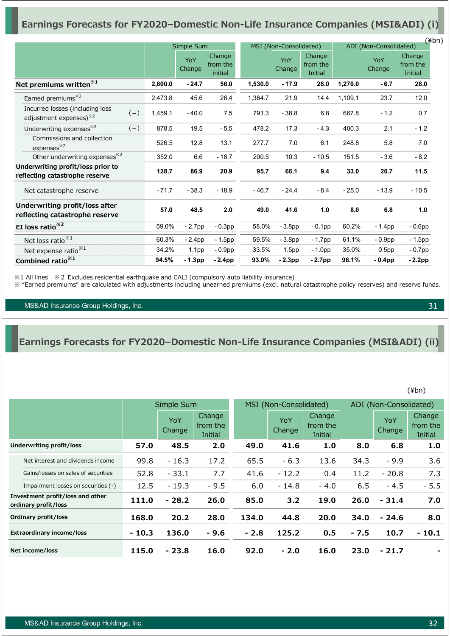### **Earnings Forecasts for FY2020–Domestic Non-Life Insurance Companies (MSI&ADI) (i)**

|                                                                                |         |                   |                               |         |                        |                               |                        |                   | $(\n{Fbn})$                   |
|--------------------------------------------------------------------------------|---------|-------------------|-------------------------------|---------|------------------------|-------------------------------|------------------------|-------------------|-------------------------------|
|                                                                                |         | Simple Sum        |                               |         | MSI (Non-Consolidated) |                               | ADI (Non-Consolidated) |                   |                               |
|                                                                                |         | YoY<br>Change     | Change<br>from the<br>initial |         | YoY<br>Change          | Change<br>from the<br>Initial |                        | YoY<br>Change     | Change<br>from the<br>Initial |
| Net premiums written <sup>*1</sup>                                             | 2,800.0 | $-24.7$           | 56.0                          | 1,530.0 | $-17.9$                | 28.0                          | 1,270.0                | $-6.7$            | 28.0                          |
| Earned premiums <sup>*2</sup>                                                  | 2,473.8 | 45.6              | 26.4                          | 1,364.7 | 21.9                   | 14.4                          | 1,109.1                | 23.7              | 12.0                          |
| Incurred losses (including loss<br>$(-)$<br>adjustment expenses) <sup>32</sup> | 1,459.1 | $-40.0$           | 7.5                           | 791.3   | $-38.8$                | 6.8                           | 667.8                  | $-1.2$            | 0.7                           |
| Underwriting expenses <sup>*2</sup><br>$(-)$                                   | 878.5   | 19.5              | $-5.5$                        | 478.2   | 17.3                   | $-4.3$                        | 400.3                  | 2.1               | $-1.2$                        |
| Commissions and collection<br>expenses <sup>32</sup>                           | 526.5   | 12.8              | 13.1                          | 277.7   | 7.0                    | 6.1                           | 248.8                  | 5.8               | 7.0                           |
| Other underwriting expenses <sup>*2</sup>                                      | 352.0   | 6.6               | $-18.7$                       | 200.5   | 10.3                   | $-10.5$                       | 151.5                  | $-3.6$            | $-8.2$                        |
| Underwriting profit/loss prior to<br>reflecting catastrophe reserve            | 128.7   | 86.9              | 20.9                          | 95.7    | 66.1                   | 9.4                           | 33.0                   | 20.7              | 11.5                          |
| Net catastrophe reserve                                                        | $-71.7$ | $-38.3$           | $-18.9$                       | $-46.7$ | $-24.4$                | $-8.4$                        | $-25.0$                | $-13.9$           | $-10.5$                       |
| Underwriting profit/loss after<br>reflecting catastrophe reserve               | 57.0    | 48.5              | 2.0                           | 49.0    | 41.6                   | 1.0                           | 8.0                    | 6.8               | 1.0                           |
| EI loss ratio <sup>*2</sup>                                                    | 59.0%   | $-2.7$ pp         | $-0.3pp$                      | 58.0%   | $-3.8pp$               | $-0.1$ pp                     | 60.2%                  | $-1.4pp$          | $-0.6$ pp                     |
| Net loss ratio <sup>**1</sup>                                                  | 60.3%   | $-2.4pp$          | $-1.5$ pp                     | 59.5%   | $-3.8pp$               | $-1.7$ pp                     | 61.1%                  | $-0.9pp$          | $-1.5$ pp                     |
| Net expense ratio <sup>**1</sup>                                               | 34.2%   | 1.1 <sub>pp</sub> | $-0.9pp$                      | 33.5%   | 1.5 <sub>pp</sub>      | $-1.0pp$                      | 35.0%                  | 0.5 <sub>pp</sub> | $-0.7$ pp                     |
| Combined ratio <sup>*1</sup>                                                   | 94.5%   | $-1.3$ pp         | $-2.4$ pp                     | 93.0%   | $-2.3$ pp              | $-2.7$ pp                     | 96.1%                  | $-0.4$ pp         | $-2.2$ pp                     |

※1 All lines ※2 Excludes residential earthquake and CALI (compulsory auto liability insurance)

※ "Earned premiums" are calculated with adjustments including unearned premiums (excl. natural catastrophe policy reserves) and reserve funds.

MS&AD Insurance Group Holdings, Inc.

### **Earnings Forecasts for FY2020–Domestic Non-Life Insurance Companies (MSI&ADI) (ii)**

(¥bn)

|                                                          |         | Simple Sum    |                               |        | MSI (Non-Consolidated) |                               | ADI (Non-Consolidated) |               |                               |
|----------------------------------------------------------|---------|---------------|-------------------------------|--------|------------------------|-------------------------------|------------------------|---------------|-------------------------------|
|                                                          |         | YoY<br>Change | Change<br>from the<br>Initial |        | YoY<br>Change          | Change<br>from the<br>Initial |                        | YoY<br>Change | Change<br>from the<br>Initial |
| Underwriting profit/loss                                 | 57.0    | 48.5          | 2.0                           | 49.0   | 41.6                   | 1.0                           | 8.0                    | 6.8           | 1.0                           |
| Net interest and dividends income                        | 99.8    | $-16.3$       | 17.2                          | 65.5   | $-6.3$                 | 13.6                          | 34.3                   | $-9.9$        | 3.6                           |
| Gains/losses on sales of securities                      | 52.8    | $-33.1$       | 7.7                           | 41.6   | $-12.2$                | 0.4                           | 11.2                   | $-20.8$       | 7.3                           |
| Impairment losses on securities (-)                      | 12.5    | $-19.3$       | $-9.5$                        | 6.0    | $-14.8$                | $-4.0$                        | 6.5                    | $-4.5$        | $-5.5$                        |
| Investment profit/loss and other<br>ordinary profit/loss | 111.0   | $-28.2$       | 26.0                          | 85.0   | 3.2                    | 19.0                          | 26.0                   | $-31.4$       | 7.0                           |
| Ordinary profit/loss                                     | 168.0   | 20.2          | 28.0                          | 134.0  | 44.8                   | 20.0                          | 34.0                   | $-24.6$       | 8.0                           |
| <b>Extraordinary income/loss</b>                         | $-10.3$ | 136.0         | $-9.6$                        | $-2.8$ | 125.2                  | 0.5                           | $-7.5$                 | 10.7          | $-10.1$                       |
| Net income/loss                                          | 115.0   | $-23.8$       | 16.0                          | 92.0   | $-2.0$                 | 16.0                          | 23.0                   | $-21.7$       |                               |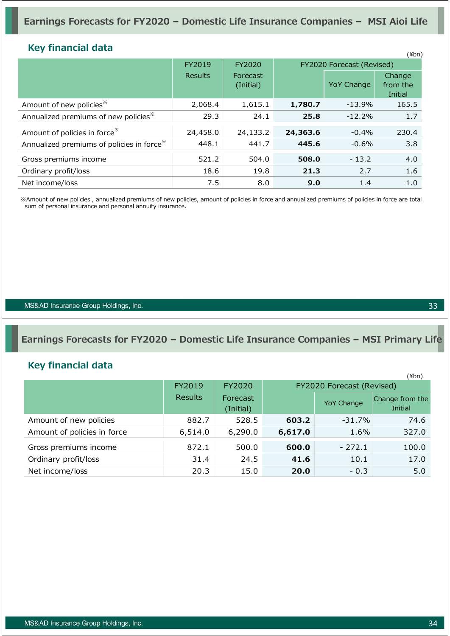### **Key financial data**

| <b>NUV HIRHIVIAI UALA</b>                              |                |                       |          |                           | $(\n{Fbn})$                   |
|--------------------------------------------------------|----------------|-----------------------|----------|---------------------------|-------------------------------|
|                                                        | FY2019         | FY2020                |          | FY2020 Forecast (Revised) |                               |
|                                                        | <b>Results</b> | Forecast<br>(Initial) |          | <b>YoY Change</b>         | Change<br>from the<br>Initial |
| Amount of new policies <sup>*</sup>                    | 2,068.4        | 1,615.1               | 1,780.7  | $-13.9%$                  | 165.5                         |
| Annualized premiums of new policies <sup>*</sup>       | 29.3           | 24.1                  | 25.8     | $-12.2%$                  | 1.7                           |
| Amount of policies in force <sup>**</sup>              | 24,458.0       | 24,133.2              | 24,363.6 | $-0.4%$                   | 230.4                         |
| Annualized premiums of policies in force <sup>**</sup> | 448.1          | 441.7                 | 445.6    | $-0.6%$                   | 3.8                           |
| Gross premiums income                                  | 521.2          | 504.0                 | 508.0    | $-13.2$                   | 4.0                           |
| Ordinary profit/loss                                   | 18.6           | 19.8                  | 21.3     | 2.7                       | 1.6                           |
| Net income/loss                                        | 7.5            | 8.0                   | 9.0      | 1.4                       | 1.0                           |

※Amount of new policies , annualized premiums of new policies, amount of policies in force and annualized premiums of policies in force are total sum of personal insurance and personal annuity insurance.

MS&AD Insurance Group Holdings, Inc.

### **Earnings Forecasts for FY2020 – Domestic Life Insurance Companies – MSI Primary Life**

### **Key financial data**

|                             |                |                       |         |                           | (¥bn)                      |
|-----------------------------|----------------|-----------------------|---------|---------------------------|----------------------------|
|                             | FY2019         | FY2020                |         | FY2020 Forecast (Revised) |                            |
|                             | <b>Results</b> | Forecast<br>(Initial) |         | <b>YoY Change</b>         | Change from the<br>Initial |
| Amount of new policies      | 882.7          | 528.5                 | 603.2   | $-31.7\%$                 | 74.6                       |
| Amount of policies in force | 6,514.0        | 6,290.0               | 6,617.0 | 1.6%                      | 327.0                      |
| Gross premiums income       | 872.1          | 500.0                 | 600.0   | $-272.1$                  | 100.0                      |
| Ordinary profit/loss        | 31.4           | 24.5                  | 41.6    | 10.1                      | 17.0                       |
| Net income/loss             | 20.3           | 15.0                  | 20.0    | $-0.3$                    | 5.0                        |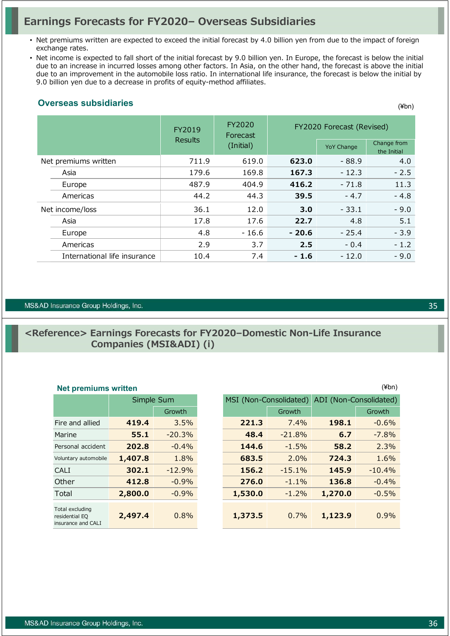### **Earnings Forecasts for FY2020– Overseas Subsidiaries**

- Net premiums written are expected to exceed the initial forecast by 4.0 billion yen from due to the impact of foreign exchange rates.
- Net income is expected to fall short of the initial forecast by 9.0 billion yen. In Europe, the forecast is below the initial due to an increase in incurred losses among other factors. In Asia, on the other hand, the forecast is above the initial due to an improvement in the automobile loss ratio. In international life insurance, the forecast is below the initial by 9.0 billion yen due to a decrease in profits of equity-method affiliates.

### **Overseas subsidiaries**

|                              | FY2019         | FY2020<br>Forecast |         | FY2020 Forecast (Revised) |                            |
|------------------------------|----------------|--------------------|---------|---------------------------|----------------------------|
|                              | <b>Results</b> | (Initial)          |         | <b>YoY Change</b>         | Change from<br>the Initial |
| Net premiums written         | 711.9          | 619.0              | 623.0   | $-88.9$                   | 4.0                        |
| Asia                         | 179.6          | 169.8              | 167.3   | $-12.3$                   | $-2.5$                     |
| Europe                       | 487.9          | 404.9              | 416.2   | $-71.8$                   | 11.3                       |
| Americas                     | 44.2           | 44.3               | 39.5    | $-4.7$                    | $-4.8$                     |
| Net income/loss              | 36.1           | 12.0               | 3.0     | $-33.1$                   | $-9.0$                     |
| Asia                         | 17.8           | 17.6               | 22.7    | 4.8                       | 5.1                        |
| Europe                       | 4.8            | $-16.6$            | $-20.6$ | $-25.4$                   | $-3.9$                     |
| Americas                     | 2.9            | 3.7                | 2.5     | $-0.4$                    | $-1.2$                     |
| International life insurance | 10.4           | 7.4                | $-1.6$  | $-12.0$                   | $-9.0$                     |

#### MS&AD Insurance Group Holdings, Inc.

### **<Reference> Earnings Forecasts for FY2020–Domestic Non-Life Insurance Companies (MSI&ADI) (i)**

|                                                         | Simple Sum |          |
|---------------------------------------------------------|------------|----------|
|                                                         |            | Growth   |
| Fire and allied                                         | 419.4      | 3.5%     |
| Marine                                                  | 55.1       | $-20.3%$ |
| Personal accident                                       | 202.8      | $-0.4%$  |
| Voluntary automobile                                    | 1,407.8    | 1.8%     |
| CAI T                                                   | 302.1      | $-12.9%$ |
| Other                                                   | 412.8      | $-0.9%$  |
| Total                                                   | 2,800.0    | $-0.9%$  |
| Total excluding<br>residential EQ<br>insurance and CALI | 2,497.4    | 0.8%     |

| <b>Net premiums written</b>                             |         |            |                        |          |                        | $(\n  4bn)$ |
|---------------------------------------------------------|---------|------------|------------------------|----------|------------------------|-------------|
|                                                         |         | Simple Sum | MSI (Non-Consolidated) |          | ADI (Non-Consolidated) |             |
|                                                         |         | Growth     |                        | Growth   |                        | Growth      |
| Fire and allied                                         | 419.4   | 3.5%       | 221.3                  | 7.4%     | 198.1                  | $-0.6%$     |
| Marine                                                  | 55.1    | $-20.3%$   | 48.4                   | $-21.8%$ | 6.7                    | $-7.8%$     |
| Personal accident                                       | 202.8   | $-0.4%$    | 144.6                  | $-1.5%$  | 58.2                   | 2.3%        |
| Voluntary automobile                                    | 1,407.8 | 1.8%       | 683.5                  | 2.0%     | 724.3                  | 1.6%        |
| <b>CALI</b>                                             | 302.1   | $-12.9%$   | 156.2                  | $-15.1%$ | 145.9                  | $-10.4%$    |
| Other                                                   | 412.8   | $-0.9%$    | 276.0                  | $-1.1%$  | 136.8                  | $-0.4%$     |
| Total                                                   | 2,800.0 | $-0.9%$    | 1,530.0                | $-1.2%$  | 1,270.0                | $-0.5%$     |
| Total excluding<br>residential EQ<br>insurance and CALI | 2,497.4 | 0.8%       | 1,373.5                | 0.7%     | 1,123.9                | 0.9%        |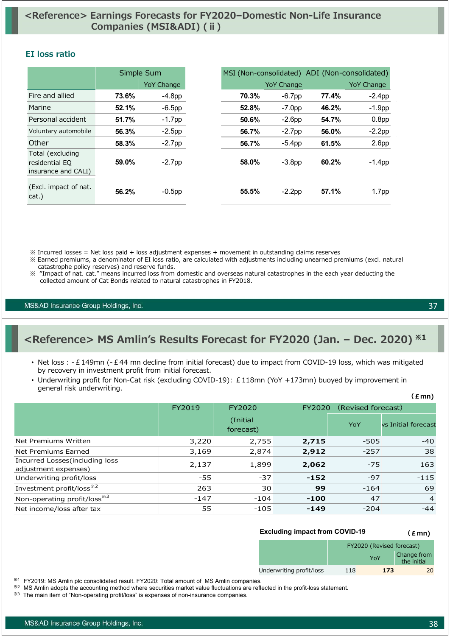### **<Reference> Earnings Forecasts for FY2020–Domestic Non-Life Insurance Companies (MSI&ADI) (ⅱ)**

### **EI loss ratio**

|                                                           |       | Simple Sum        | MSI (Non-consolidated) |                   | ADI (Non-consolidated) |                   |
|-----------------------------------------------------------|-------|-------------------|------------------------|-------------------|------------------------|-------------------|
|                                                           |       | <b>YoY Change</b> |                        | <b>YoY Change</b> |                        | <b>YoY Change</b> |
| Fire and allied                                           | 73.6% | $-4.8pp$          | 70.3%                  | $-6.7$ pp         | 77.4%                  | $-2.4$ pp         |
| Marine                                                    | 52.1% | $-6.5$ pp         | 52.8%                  | $-7.0pp$          | 46.2%                  | $-1.9pp$          |
| Personal accident                                         | 51.7% | $-1.7$ pp         | 50.6%                  | $-2.6pp$          | 54.7%                  | 0.8 <sub>pp</sub> |
| Voluntary automobile                                      | 56.3% | $-2.5$ pp         | 56.7%                  | $-2.7$ pp         | 56.0%                  | $-2.2$ pp         |
| Other                                                     | 58.3% | $-2.7$ pp         | 56.7%                  | $-5.4pp$          | 61.5%                  | 2.6 <sub>pp</sub> |
| Total (excluding<br>residential EQ<br>insurance and CALI) | 59.0% | $-2.7$ pp         | 58.0%                  | $-3.8pp$          | 60.2%                  | $-1.4$ pp         |
| (Excl. impact of nat.<br>cat.)                            | 56.2% | $-0.5$ pp         | 55.5%                  | $-2.2$ pp         | 57.1%                  | 1.7 <sub>pp</sub> |

- $\%$  Incurred losses = Net loss paid + loss adjustment expenses + movement in outstanding claims reserves
- ※ Earned premiums, a denominator of EI loss ratio, are calculated with adjustments including unearned premiums (excl. natural catastrophe policy reserves) and reserve funds.
- ※ "Impact of nat. cat." means incurred loss from domestic and overseas natural catastrophes in the each year deducting the collected amount of Cat Bonds related to natural catastrophes in FY2018.

MS&AD Insurance Group Holdings, Inc.

### **<Reference> MS Amlin's Results Forecast for FY2020 (Jan. – Dec. 2020) ※1**

- Net loss : -£149mn (-£44 mn decline from initial forecast) due to impact from COVID-19 loss, which was mitigated by recovery in investment profit from initial forecast.
- Underwriting profit for Non-Cat risk (excluding COVID-19): £118mn (YoY +173mn) buoyed by improvement in general risk underwriting.

|                                                         | FY2019 | FY2020                | FY2020 | (Revised forecast) |                     |
|---------------------------------------------------------|--------|-----------------------|--------|--------------------|---------------------|
|                                                         |        | (Initial<br>forecast) |        | YoY                | vs Initial forecast |
| Net Premiums Written                                    | 3,220  | 2,755                 | 2,715  | $-505$             | $-40$               |
| Net Premiums Earned                                     | 3,169  | 2,874                 | 2,912  | $-257$             | 38                  |
| Incurred Losses (including loss<br>adjustment expenses) | 2,137  | 1,899                 | 2,062  | $-75$              | 163                 |
| Underwriting profit/loss                                | $-55$  | $-37$                 | $-152$ | $-97$              | $-115$              |
| Investment profit/loss <sup>*2</sup>                    | 263    | 30                    | 99     | $-164$             | 69                  |
| Non-operating profit/loss <sup>*3</sup>                 | $-147$ | $-104$                | $-100$ | 47                 | $\overline{4}$      |
| Net income/loss after tax                               | 55     | $-105$                | $-149$ | $-204$             | $-44$               |
|                                                         |        |                       |        |                    |                     |

#### **Excluding impact from COVID-19 (£mn)**

|                          | FY2020 (Revised forecast) |     |                            |  |
|--------------------------|---------------------------|-----|----------------------------|--|
|                          |                           | YoY | Change from<br>the initial |  |
| Underwriting profit/loss | 118                       | 173 |                            |  |

※1 FY2019: MS Amlin plc consolidated result. FY2020: Total amount of MS Amlin companies.

- ※2 MS Amlin adopts the accounting method where securities market value fluctuations are reflected in the profit-loss statement.
- ※<sup>3</sup> The main item of "Non-operating profit/loss" is expenses of non-insurance companies.

37

**(£mn)**